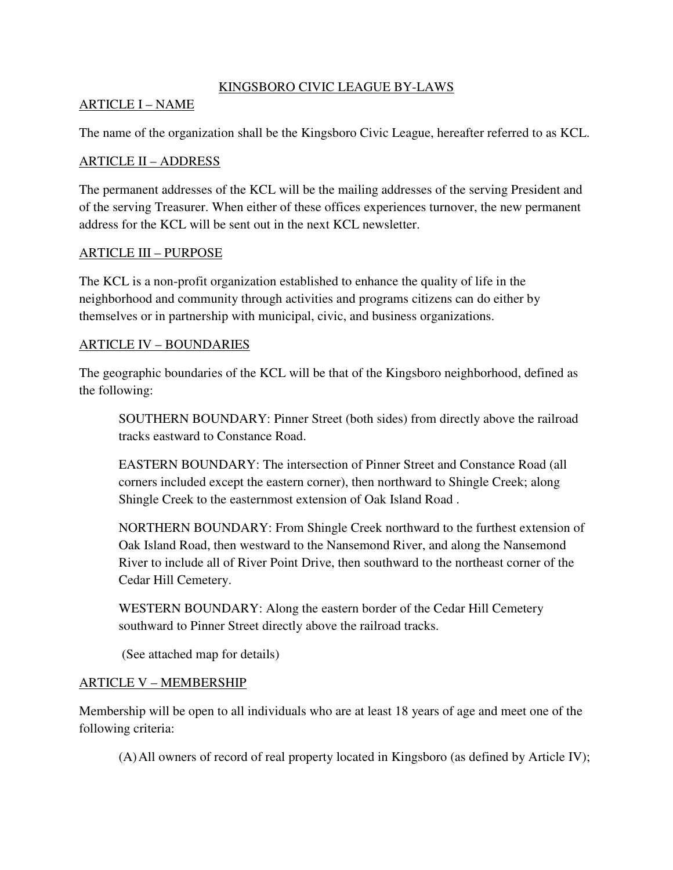#### KINGSBORO CIVIC LEAGUE BY-LAWS

#### ARTICLE I – NAME

The name of the organization shall be the Kingsboro Civic League, hereafter referred to as KCL.

#### ARTICLE II – ADDRESS

The permanent addresses of the KCL will be the mailing addresses of the serving President and of the serving Treasurer. When either of these offices experiences turnover, the new permanent address for the KCL will be sent out in the next KCL newsletter.

#### ARTICLE III – PURPOSE

The KCL is a non-profit organization established to enhance the quality of life in the neighborhood and community through activities and programs citizens can do either by themselves or in partnership with municipal, civic, and business organizations.

#### ARTICLE IV – BOUNDARIES

The geographic boundaries of the KCL will be that of the Kingsboro neighborhood, defined as the following:

SOUTHERN BOUNDARY: Pinner Street (both sides) from directly above the railroad tracks eastward to Constance Road.

EASTERN BOUNDARY: The intersection of Pinner Street and Constance Road (all corners included except the eastern corner), then northward to Shingle Creek; along Shingle Creek to the easternmost extension of Oak Island Road .

NORTHERN BOUNDARY: From Shingle Creek northward to the furthest extension of Oak Island Road, then westward to the Nansemond River, and along the Nansemond River to include all of River Point Drive, then southward to the northeast corner of the Cedar Hill Cemetery.

WESTERN BOUNDARY: Along the eastern border of the Cedar Hill Cemetery southward to Pinner Street directly above the railroad tracks.

(See attached map for details)

### ARTICLE V – MEMBERSHIP

Membership will be open to all individuals who are at least 18 years of age and meet one of the following criteria:

(A)All owners of record of real property located in Kingsboro (as defined by Article IV);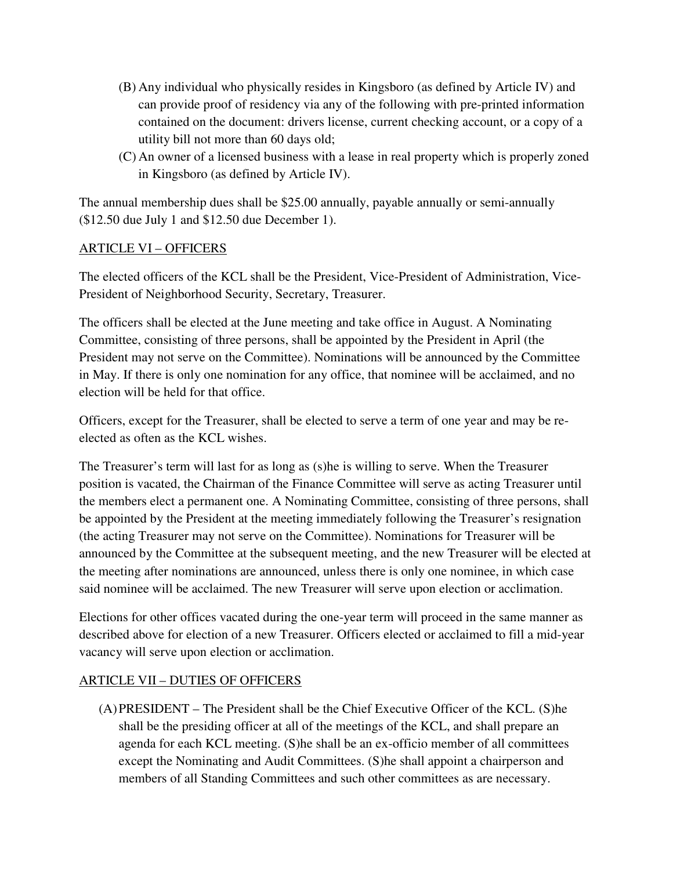- (B) Any individual who physically resides in Kingsboro (as defined by Article IV) and can provide proof of residency via any of the following with pre-printed information contained on the document: drivers license, current checking account, or a copy of a utility bill not more than 60 days old;
- (C) An owner of a licensed business with a lease in real property which is properly zoned in Kingsboro (as defined by Article IV).

The annual membership dues shall be \$25.00 annually, payable annually or semi-annually (\$12.50 due July 1 and \$12.50 due December 1).

## ARTICLE VI – OFFICERS

The elected officers of the KCL shall be the President, Vice-President of Administration, Vice-President of Neighborhood Security, Secretary, Treasurer.

The officers shall be elected at the June meeting and take office in August. A Nominating Committee, consisting of three persons, shall be appointed by the President in April (the President may not serve on the Committee). Nominations will be announced by the Committee in May. If there is only one nomination for any office, that nominee will be acclaimed, and no election will be held for that office.

Officers, except for the Treasurer, shall be elected to serve a term of one year and may be reelected as often as the KCL wishes.

The Treasurer's term will last for as long as (s)he is willing to serve. When the Treasurer position is vacated, the Chairman of the Finance Committee will serve as acting Treasurer until the members elect a permanent one. A Nominating Committee, consisting of three persons, shall be appointed by the President at the meeting immediately following the Treasurer's resignation (the acting Treasurer may not serve on the Committee). Nominations for Treasurer will be announced by the Committee at the subsequent meeting, and the new Treasurer will be elected at the meeting after nominations are announced, unless there is only one nominee, in which case said nominee will be acclaimed. The new Treasurer will serve upon election or acclimation.

Elections for other offices vacated during the one-year term will proceed in the same manner as described above for election of a new Treasurer. Officers elected or acclaimed to fill a mid-year vacancy will serve upon election or acclimation.

# ARTICLE VII – DUTIES OF OFFICERS

(A)PRESIDENT – The President shall be the Chief Executive Officer of the KCL. (S)he shall be the presiding officer at all of the meetings of the KCL, and shall prepare an agenda for each KCL meeting. (S)he shall be an ex-officio member of all committees except the Nominating and Audit Committees. (S)he shall appoint a chairperson and members of all Standing Committees and such other committees as are necessary.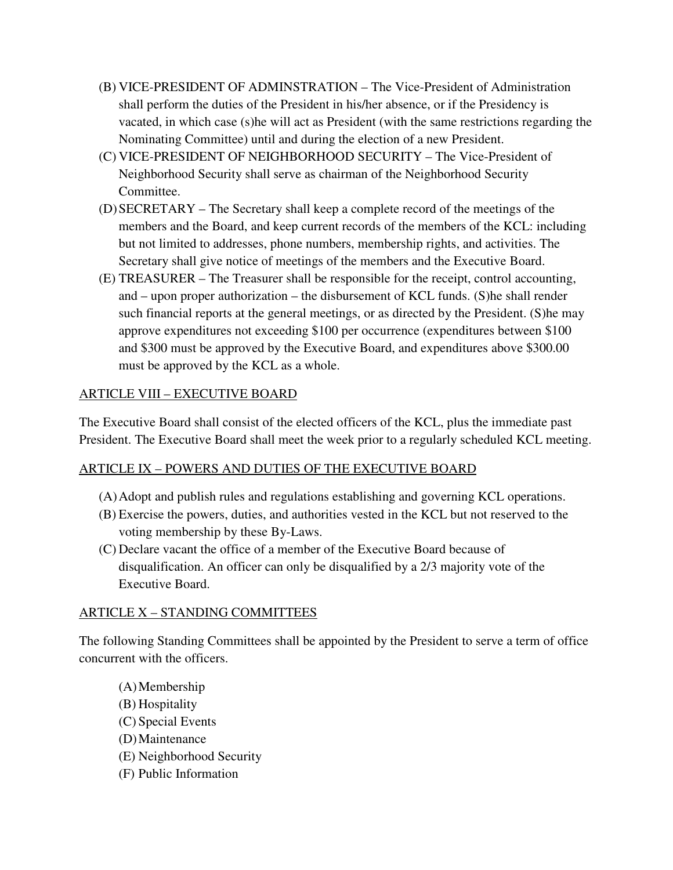- (B) VICE-PRESIDENT OF ADMINSTRATION The Vice-President of Administration shall perform the duties of the President in his/her absence, or if the Presidency is vacated, in which case (s)he will act as President (with the same restrictions regarding the Nominating Committee) until and during the election of a new President.
- (C) VICE-PRESIDENT OF NEIGHBORHOOD SECURITY The Vice-President of Neighborhood Security shall serve as chairman of the Neighborhood Security Committee.
- (D)SECRETARY The Secretary shall keep a complete record of the meetings of the members and the Board, and keep current records of the members of the KCL: including but not limited to addresses, phone numbers, membership rights, and activities. The Secretary shall give notice of meetings of the members and the Executive Board.
- (E) TREASURER The Treasurer shall be responsible for the receipt, control accounting, and – upon proper authorization – the disbursement of KCL funds. (S)he shall render such financial reports at the general meetings, or as directed by the President. (S)he may approve expenditures not exceeding \$100 per occurrence (expenditures between \$100 and \$300 must be approved by the Executive Board, and expenditures above \$300.00 must be approved by the KCL as a whole.

## ARTICLE VIII – EXECUTIVE BOARD

The Executive Board shall consist of the elected officers of the KCL, plus the immediate past President. The Executive Board shall meet the week prior to a regularly scheduled KCL meeting.

### ARTICLE IX – POWERS AND DUTIES OF THE EXECUTIVE BOARD

- (A)Adopt and publish rules and regulations establishing and governing KCL operations.
- (B) Exercise the powers, duties, and authorities vested in the KCL but not reserved to the voting membership by these By-Laws.
- (C) Declare vacant the office of a member of the Executive Board because of disqualification. An officer can only be disqualified by a 2/3 majority vote of the Executive Board.

### ARTICLE X – STANDING COMMITTEES

The following Standing Committees shall be appointed by the President to serve a term of office concurrent with the officers.

- (A)Membership
- (B) Hospitality
- (C) Special Events
- (D)Maintenance
- (E) Neighborhood Security
- (F) Public Information